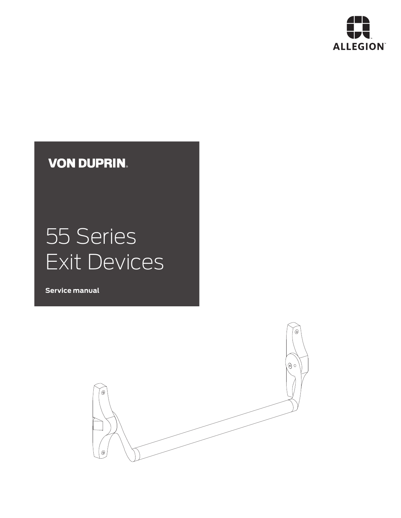

# **VON DUPRIN.**

# 55 Series Exit Devices

**Service manual**

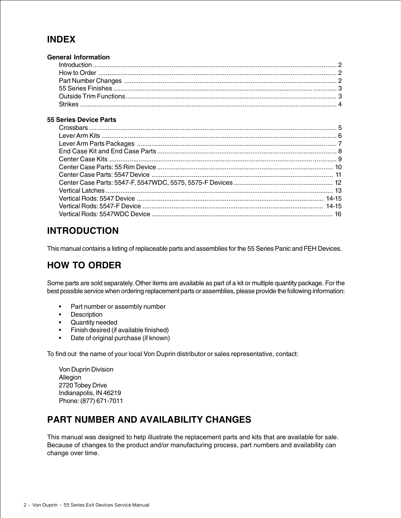#### **INDEX**

| <b>General Information</b> |  |
|----------------------------|--|
|                            |  |
|                            |  |
|                            |  |
|                            |  |
|                            |  |
|                            |  |

#### **55 Series Device Parts**

#### **INTRODUCTION**

This manual contains a listing of replaceable parts and assemblies for the 55 Series Panic and FEH Devices.

#### **HOW TO ORDER**

Some parts are sold separately. Other items are available as part of a kit or multiple quantity package. For the best possible service when ordering replacement parts or assemblies, please provide the following information:

- Part number or assembly number
- Description
- Quantity needed
- Finish desired (if available finished)
- Date of original purchase (if known)

To find out the name of your local Von Duprin distributor or sales representative, contact:

Von Duprin Division Allegion 2720 Tobey Drive Indianapolis, IN 46219 Phone: (877) 671-7011

#### **PART NUMBER AND AVAILABILITY CHANGES**

This manual was designed to help illustrate the replacement parts and kits that are available for sale. Because of changes to the product and/or manufacturing process, part numbers and availability can change over time.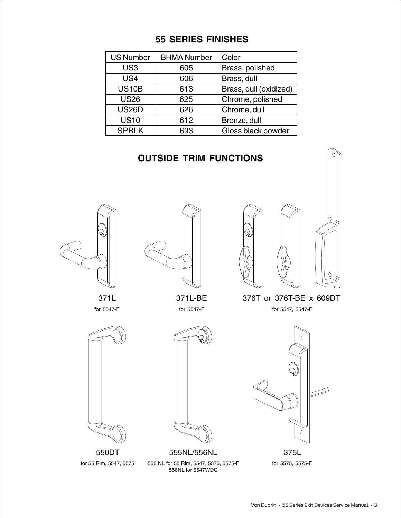#### **55 SERIES FINISHES**

| <b>US Number</b> | <b>BHMA Number</b> | Color                  |
|------------------|--------------------|------------------------|
| US <sub>3</sub>  | 605                | Brass, polished        |
| US4              | 606                | Brass, dull            |
| <b>US10B</b>     | 613                | Brass, dull (oxidized) |
| <b>US26</b>      | 625                | Chrome, polished       |
| <b>US26D</b>     | 626                | Chrome, dull           |
| <b>US10</b>      | 612                | Bronze, dull           |
| <b>SPBLK</b>     | 693                | Gloss black powder     |

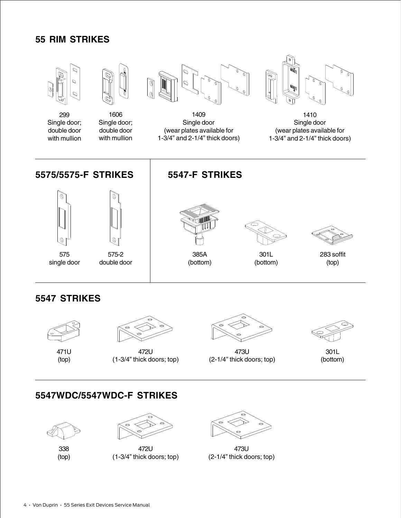#### **55 RIM STRIKES**



#### **5547 STRIKES**



471U (top)



472U (1-3/4" thick doors; top)



473U (2-1/4" thick doors; top)



301L (bottom)

#### **5547WDC/5547WDC-F STRIKES**



338 (top)



472U (1-3/4" thick doors; top)



473U (2-1/4" thick doors; top)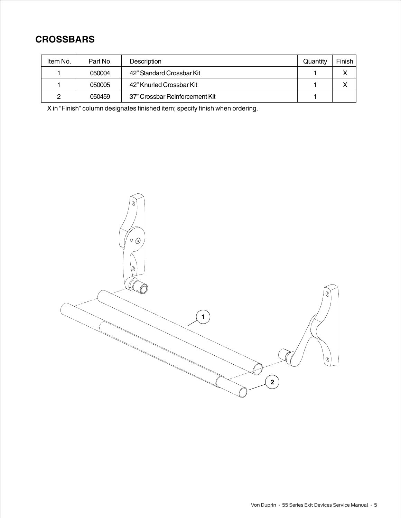#### **CROSSBARS**

| Item No. | Part No. | <b>Description</b>             | Quantity | Finish |
|----------|----------|--------------------------------|----------|--------|
|          | 050004   | 42" Standard Crossbar Kit      |          |        |
|          | 050005   | 42" Knurled Crossbar Kit       |          |        |
| ົ        | 050459   | 37" Crossbar Reinforcement Kit |          |        |

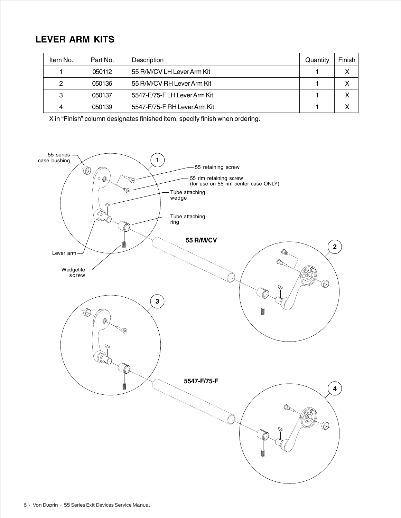#### **LEVER ARM KITS**

| Item No. | Part No. | Description                  | Quantity | Finish |
|----------|----------|------------------------------|----------|--------|
|          | 050112   | 55 R/M/CV LH Lever Arm Kit   |          | x      |
| 2        | 050136   | 55 R/M/CV RH Lever Arm Kit   |          | х      |
| 3        | 050137   | 5547-F/75-F LH Lever Arm Kit |          |        |
| 4        | 050139   | 5547-F/75-F RH Lever Arm Kit |          |        |

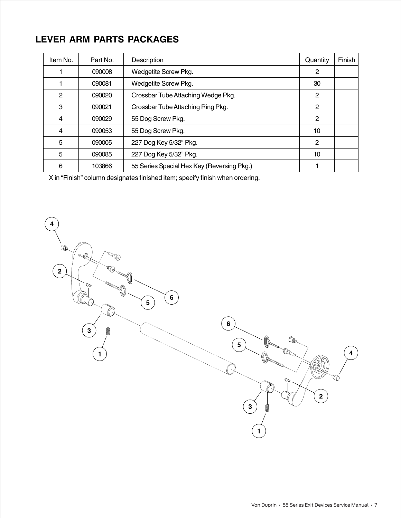#### **LEVER ARM PARTS PACKAGES**

| Item No. | Part No. | Description                                | Quantity       | Finish |
|----------|----------|--------------------------------------------|----------------|--------|
|          | 090008   | Wedgetite Screw Pkg.                       | 2              |        |
|          | 090081   | Wedgetite Screw Pkg.                       | 30             |        |
| 2        | 090020   | Crossbar Tube Attaching Wedge Pkg.         | 2              |        |
| 3        | 090021   | Crossbar Tube Attaching Ring Pkg.          | 2              |        |
| 4        | 090029   | 55 Dog Screw Pkg.                          | $\overline{2}$ |        |
| 4        | 090053   | 55 Dog Screw Pkg.                          | 10             |        |
| 5        | 090005   | 227 Dog Key 5/32" Pkg.                     | 2              |        |
| 5        | 090085   | 227 Dog Key 5/32" Pkg.                     | 10             |        |
| 6        | 103866   | 55 Series Special Hex Key (Reversing Pkg.) |                |        |

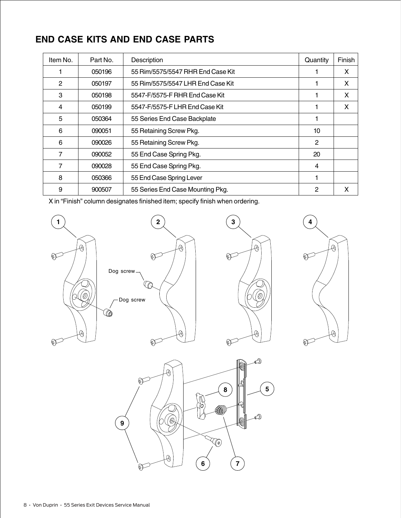#### **END CASE KITS AND END CASE PARTS**

| Item No. | Part No. | Description                       | Quantity       | Finish |
|----------|----------|-----------------------------------|----------------|--------|
|          | 050196   | 55 Rim/5575/5547 RHR End Case Kit |                | X      |
| 2        | 050197   | 55 Rim/5575/5547 LHR End Case Kit |                | X      |
| 3        | 050198   | 5547-F/5575-F RHR End Case Kit    |                | X      |
| 4        | 050199   | 5547-F/5575-F LHR End Case Kit    |                | X      |
| 5        | 050364   | 55 Series End Case Backplate      |                |        |
| 6        | 090051   | 55 Retaining Screw Pkg.           | 10             |        |
| 6        | 090026   | 55 Retaining Screw Pkg.           | $\overline{2}$ |        |
| 7        | 090052   | 55 End Case Spring Pkg.           | 20             |        |
| 7        | 090028   | 55 End Case Spring Pkg.           | 4              |        |
| 8        | 050366   | 55 End Case Spring Lever          |                |        |
| 9        | 900507   | 55 Series End Case Mounting Pkg.  | 2              | X      |







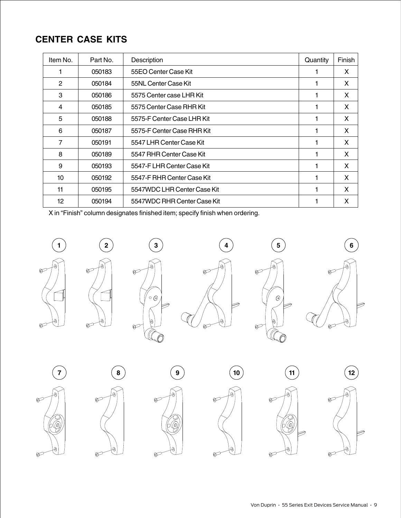#### **CENTER CASE KITS**

| Item No.     | Part No. | Description                 | Quantity | Finish       |
|--------------|----------|-----------------------------|----------|--------------|
|              | 050183   | 55EO Center Case Kit        |          | X            |
| $\mathbf{2}$ | 050184   | 55NL Center Case Kit        |          | X            |
| 3            | 050186   | 5575 Center case LHR Kit    |          | X            |
| 4            | 050185   | 5575 Center Case RHR Kit    |          | $\mathsf{x}$ |
| 5            | 050188   | 5575-F Center Case LHR Kit  |          | X            |
| 6            | 050187   | 5575-F Center Case RHR Kit  |          | X            |
| 7            | 050191   | 5547 LHR Center Case Kit    |          | X            |
| 8            | 050189   | 5547 RHR Center Case Kit    |          | X            |
| 9            | 050193   | 5547-F LHR Center Case Kit  |          | X            |
| 10           | 050192   | 5547-F RHR Center Case Kit  | 1        | X            |
| 11           | 050195   | 5547WDC LHR Center Case Kit |          | X            |
| 12           | 050194   | 5547WDC RHR Center Case Kit |          | X            |





















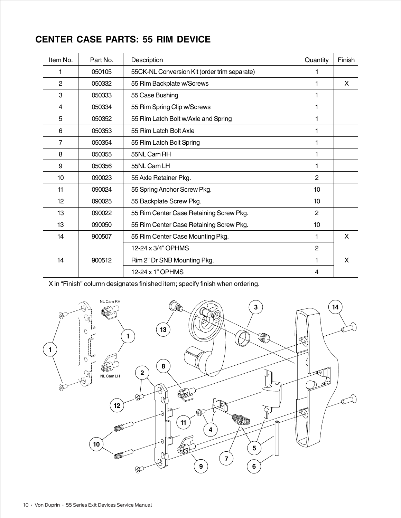# **CENTER CASE PARTS: 55 RIM DEVICE**

| Item No.       | Part No. | Description                                  | Quantity       | Finish |
|----------------|----------|----------------------------------------------|----------------|--------|
| 1              | 050105   | 55CK-NL Conversion Kit (order trim separate) |                |        |
| $\overline{2}$ | 050332   | 55 Rim Backplate w/Screws                    | 1              | X      |
| 3              | 050333   | 55 Case Bushing                              | 1              |        |
| 4              | 050334   | 55 Rim Spring Clip w/Screws                  | 1              |        |
| 5              | 050352   | 55 Rim Latch Bolt w/Axle and Spring          | 1              |        |
| 6              | 050353   | 55 Rim Latch Bolt Axle                       | 1              |        |
| $\overline{7}$ | 050354   | 55 Rim Latch Bolt Spring                     | 1              |        |
| 8              | 050355   | 55NL Cam RH                                  | 1              |        |
| 9              | 050356   | 55NL Cam LH                                  | 1              |        |
| 10             | 090023   | 55 Axle Retainer Pkg.                        | 2              |        |
| 11             | 090024   | 55 Spring Anchor Screw Pkg.                  | 10             |        |
| 12             | 090025   | 55 Backplate Screw Pkg.                      | 10             |        |
| 13             | 090022   | 55 Rim Center Case Retaining Screw Pkg.      | 2              |        |
| 13             | 090050   | 55 Rim Center Case Retaining Screw Pkg.      | 10             |        |
| 14             | 900507   | 55 Rim Center Case Mounting Pkg.             | 1              | X      |
|                |          | 12-24 x 3/4" OPHMS                           | $\overline{2}$ |        |
| 14             | 900512   | Rim 2" Dr SNB Mounting Pkg.                  | 1              | X      |
|                |          | 12-24 x 1" OPHMS                             | 4              |        |

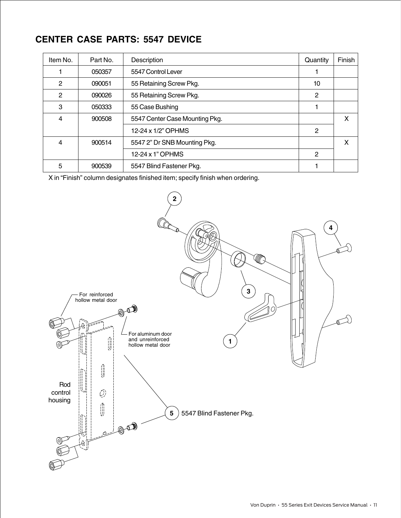#### **CENTER CASE PARTS: 5547 DEVICE**

| Item No. | Part No. | Description                    | Quantity     | Finish |
|----------|----------|--------------------------------|--------------|--------|
|          | 050357   | 5547 Control Lever             |              |        |
| 2        | 090051   | 55 Retaining Screw Pkg.        | 10           |        |
| 2        | 090026   | 55 Retaining Screw Pkg.        | 2            |        |
| 3        | 050333   | 55 Case Bushing                |              |        |
| 4        | 900508   | 5547 Center Case Mounting Pkg. |              | X      |
|          |          | 12-24 x 1/2" OPHMS             | 2            |        |
| 4        | 900514   | 5547 2" Dr SNB Mounting Pkg.   |              | X      |
|          |          | 12-24 x 1" OPHMS               | $\mathbf{2}$ |        |
| 5        | 900539   | 5547 Blind Fastener Pkg.       |              |        |

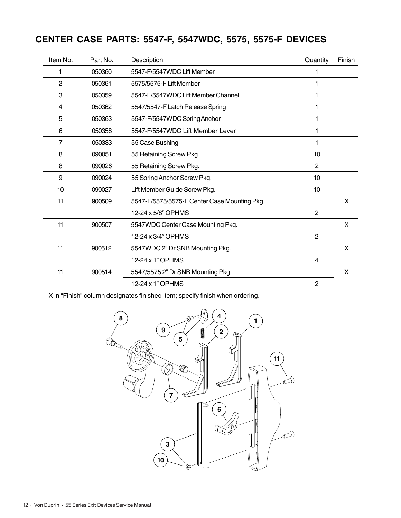### **CENTER CASE PARTS: 5547-F, 5547WDC, 5575, 5575-F DEVICES**

| Item No.       | Part No. | Description                                  | Quantity       | Finish |
|----------------|----------|----------------------------------------------|----------------|--------|
| 1              | 050360   | 5547-F/5547WDC Lift Member                   | 1              |        |
| $\overline{2}$ | 050361   | 5575/5575-F Lift Member                      | 1              |        |
| 3              | 050359   | 5547-F/5547WDC Lift Member Channel           |                |        |
| 4              | 050362   | 5547/5547-F Latch Release Spring             | 1              |        |
| 5              | 050363   | 5547-F/5547WDC Spring Anchor                 | 1              |        |
| 6              | 050358   | 5547-F/5547WDC Lift Member Lever             | 1              |        |
| 7              | 050333   | 55 Case Bushing                              | 1              |        |
| 8              | 090051   | 55 Retaining Screw Pkg.                      | 10             |        |
| 8              | 090026   | 55 Retaining Screw Pkg.                      | 2              |        |
| 9              | 090024   | 55 Spring Anchor Screw Pkg.                  | 10             |        |
| 10             | 090027   | Lift Member Guide Screw Pkg.                 | 10             |        |
| 11             | 900509   | 5547-F/5575/5575-F Center Case Mounting Pkg. |                | X      |
|                |          | 12-24 x 5/8" OPHMS                           | 2              |        |
| 11             | 900507   | 5547WDC Center Case Mounting Pkg.            |                | X      |
|                |          | 12-24 x 3/4" OPHMS                           | 2              |        |
| 11             | 900512   | 5547WDC 2" Dr SNB Mounting Pkg.              |                | X      |
|                |          | 12-24 x 1" OPHMS                             | $\overline{4}$ |        |
| 11             | 900514   | 5547/5575 2" Dr SNB Mounting Pkg.            |                | X      |
|                |          | 12-24 x 1" OPHMS                             | $\overline{2}$ |        |

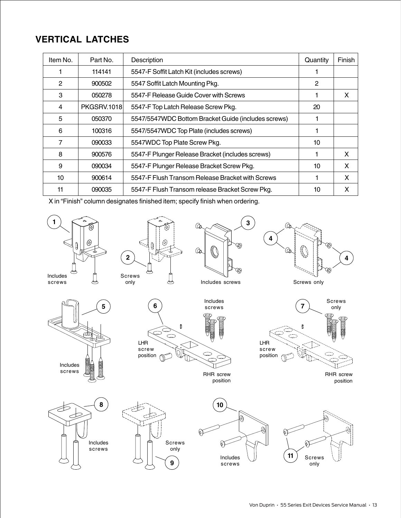#### **VERTICAL LATCHES**

| Item No. | Part No.           | Description                                         | Quantity | Finish |
|----------|--------------------|-----------------------------------------------------|----------|--------|
|          | 114141             | 5547-F Soffit Latch Kit (includes screws)           |          |        |
| 2        | 900502             | 5547 Soffit Latch Mounting Pkg.                     | 2        |        |
| 3        | 050278             | 5547-F Release Guide Cover with Screws              |          | X      |
| 4        | <b>PKGSRV.1018</b> | 5547-F Top Latch Release Screw Pkg.                 | 20       |        |
| 5        | 050370             | 5547/5547WDC Bottom Bracket Guide (includes screws) |          |        |
| 6        | 100316             | 5547/5547WDC Top Plate (includes screws)            |          |        |
| 7        | 090033             | 5547WDC Top Plate Screw Pkg.                        | 10       |        |
| 8        | 900576             | 5547-F Plunger Release Bracket (includes screws)    |          | X      |
| 9        | 090034             | 5547-F Plunger Release Bracket Screw Pkg.           | 10       | X      |
| 10       | 900614             | 5547-F Flush Transom Release Bracket with Screws    |          | X      |
| 11       | 090035             | 5547-F Flush Transom release Bracket Screw Pkg.     | 10       | X      |

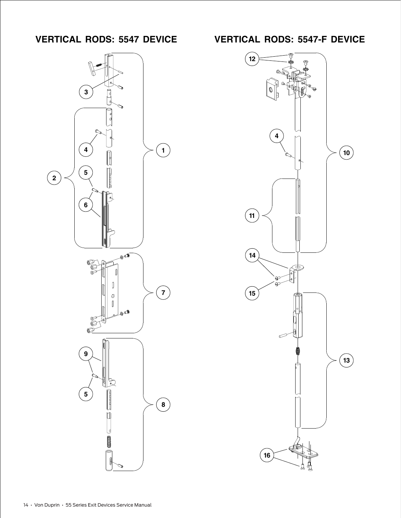

**VERTICAL RODS: 5547 DEVICE VERTICAL RODS: 5547-F DEVICE**

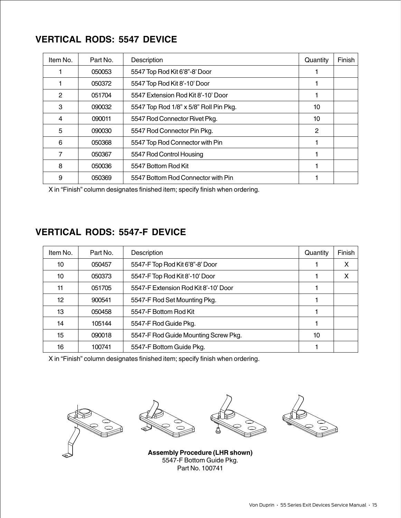#### **VERTICAL RODS: 5547 DEVICE**

| Item No. | Part No. | Description                            | Quantity | Finish |
|----------|----------|----------------------------------------|----------|--------|
|          | 050053   | 5547 Top Rod Kit 6'8"-8' Door          |          |        |
|          | 050372   | 5547 Top Rod Kit 8'-10' Door           |          |        |
| 2        | 051704   | 5547 Extension Rod Kit 8'-10' Door     |          |        |
| 3        | 090032   | 5547 Top Rod 1/8" x 5/8" Roll Pin Pkg. | 10       |        |
| 4        | 090011   | 5547 Rod Connector Rivet Pkg.          | 10       |        |
| 5        | 090030   | 5547 Rod Connector Pin Pkg.            | 2        |        |
| 6        | 050368   | 5547 Top Rod Connector with Pin        |          |        |
| 7        | 050367   | 5547 Rod Control Housing               |          |        |
| 8        | 050036   | 5547 Bottom Rod Kit                    |          |        |
| 9        | 050369   | 5547 Bottom Rod Connector with Pin     |          |        |

X in "Finish" column designates finished item; specify finish when ordering.

#### **VERTICAL RODS: 5547-F DEVICE**

| Item No. | Part No. | Description                          | Quantity | Finish |
|----------|----------|--------------------------------------|----------|--------|
| 10       | 050457   | 5547-F Top Rod Kit 6'8"-8' Door      |          | X      |
| 10       | 050373   | 5547-F Top Rod Kit 8'-10' Door       |          | X      |
| 11       | 051705   | 5547-F Extension Rod Kit 8'-10' Door |          |        |
| 12       | 900541   | 5547-F Rod Set Mounting Pkg.         |          |        |
| 13       | 050458   | 5547-F Bottom Rod Kit                |          |        |
| 14       | 105144   | 5547-F Rod Guide Pkg.                |          |        |
| 15       | 090018   | 5547-F Rod Guide Mounting Screw Pkg. | 10       |        |
| 16       | 100741   | 5547-F Bottom Guide Pkg.             |          |        |

X in "Finish" column designates finished item; specify finish when ordering.









**Assembly Procedure (LHR shown)** 5547-F Bottom Guide Pkg. Part No. 100741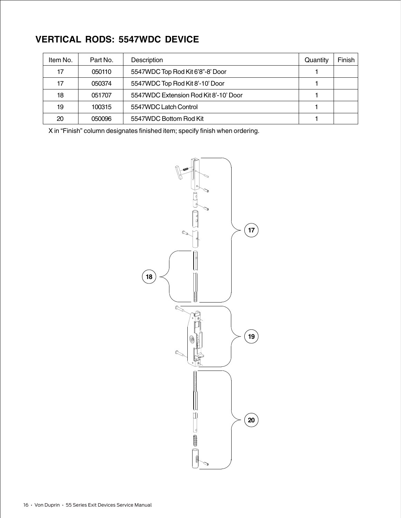# **VERTICAL RODS: 5547WDC DEVICE**

| Item No. | Part No. | Description                           | Quantity | Finish |
|----------|----------|---------------------------------------|----------|--------|
| 17       | 050110   | 5547WDC Top Rod Kit 6'8"-8' Door      |          |        |
| 17       | 050374   | 5547WDC Top Rod Kit 8'-10' Door       |          |        |
| 18       | 051707   | 5547WDC Extension Rod Kit 8'-10' Door |          |        |
| 19       | 100315   | 5547WDC Latch Control                 |          |        |
| 20       | 050096   | 5547WDC Bottom Rod Kit                |          |        |